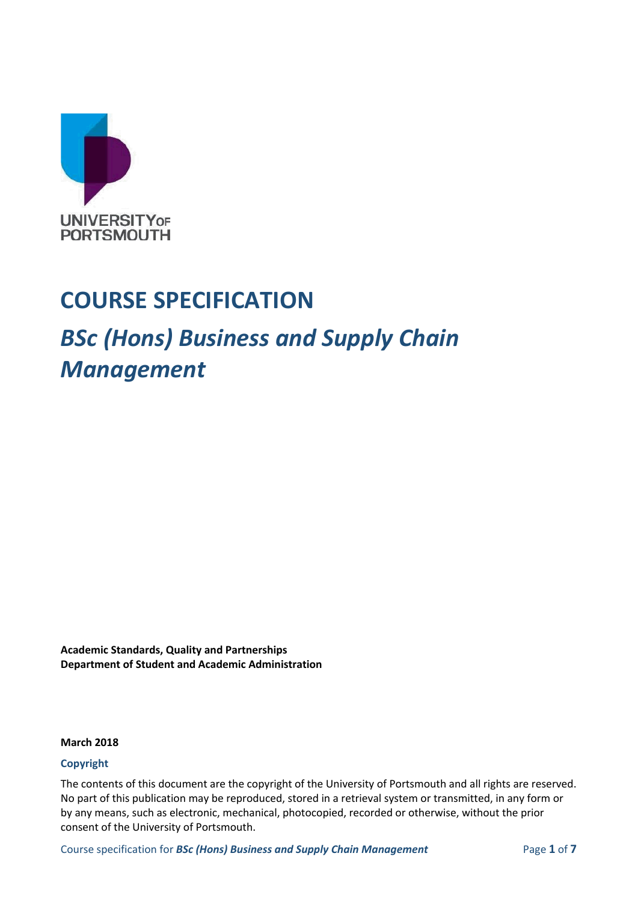

## **COURSE SPECIFICATION**

## *BSc (Hons) Business and Supply Chain Management*

**Academic Standards, Quality and Partnerships Department of Student and Academic Administration**

#### **March 2018**

#### **Copyright**

The contents of this document are the copyright of the University of Portsmouth and all rights are reserved. No part of this publication may be reproduced, stored in a retrieval system or transmitted, in any form or by any means, such as electronic, mechanical, photocopied, recorded or otherwise, without the prior consent of the University of Portsmouth.

Course specification for *BSc (Hons) Business and Supply Chain Management* Page **1** of **7**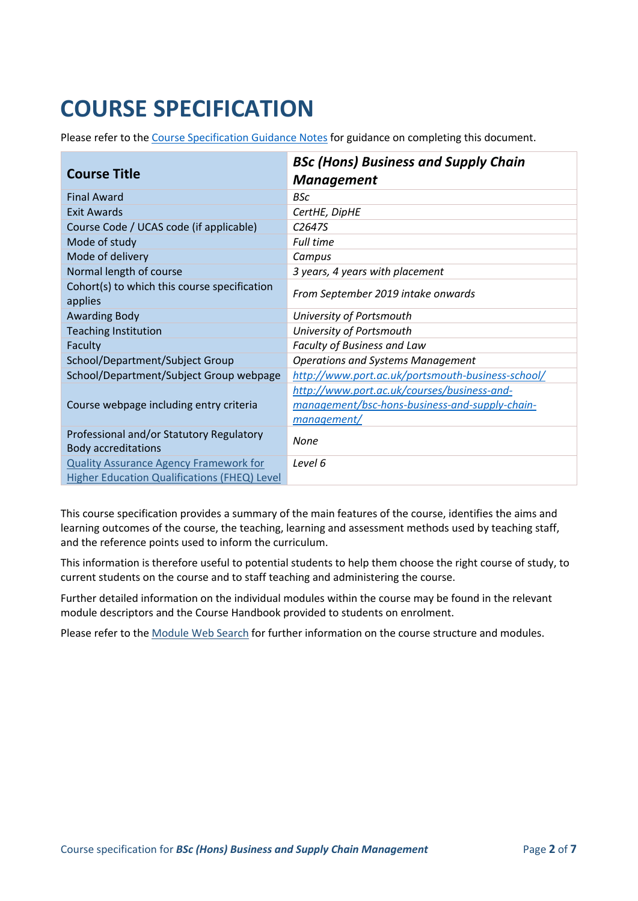# **COURSE SPECIFICATION**

Please refer to the [Course Specification Guidance Notes](http://www.port.ac.uk/departments/services/academicregistry/qmd/curriculum-framework-2019-20/filetodownload,201767,en.docx) for guidance on completing this document.

|                                                                        | <b>BSc (Hons) Business and Supply Chain</b>       |
|------------------------------------------------------------------------|---------------------------------------------------|
| <b>Course Title</b>                                                    | <b>Management</b>                                 |
| <b>Final Award</b>                                                     | <b>BSc</b>                                        |
| <b>Exit Awards</b>                                                     | CertHE, DipHE                                     |
| Course Code / UCAS code (if applicable)                                | C <sub>2647S</sub>                                |
| Mode of study                                                          | <b>Full time</b>                                  |
| Mode of delivery                                                       | Campus                                            |
| Normal length of course                                                | 3 years, 4 years with placement                   |
| Cohort(s) to which this course specification<br>applies                | From September 2019 intake onwards                |
| <b>Awarding Body</b>                                                   | University of Portsmouth                          |
| <b>Teaching Institution</b>                                            | University of Portsmouth                          |
| Faculty                                                                | Faculty of Business and Law                       |
| School/Department/Subject Group                                        | <b>Operations and Systems Management</b>          |
| School/Department/Subject Group webpage                                | http://www.port.ac.uk/portsmouth-business-school/ |
|                                                                        | http://www.port.ac.uk/courses/business-and-       |
| Course webpage including entry criteria                                | management/bsc-hons-business-and-supply-chain-    |
|                                                                        | management/                                       |
| Professional and/or Statutory Regulatory<br><b>Body accreditations</b> | None                                              |
| <b>Quality Assurance Agency Framework for</b>                          | Level 6                                           |
| Higher Education Qualifications (FHEQ) Level                           |                                                   |

This course specification provides a summary of the main features of the course, identifies the aims and learning outcomes of the course, the teaching, learning and assessment methods used by teaching staff, and the reference points used to inform the curriculum.

This information is therefore useful to potential students to help them choose the right course of study, to current students on the course and to staff teaching and administering the course.

Further detailed information on the individual modules within the course may be found in the relevant module descriptors and the Course Handbook provided to students on enrolment.

Please refer to the [Module Web Search](https://register.port.ac.uk/ords/f?p=111:1:0:::::) for further information on the course structure and modules.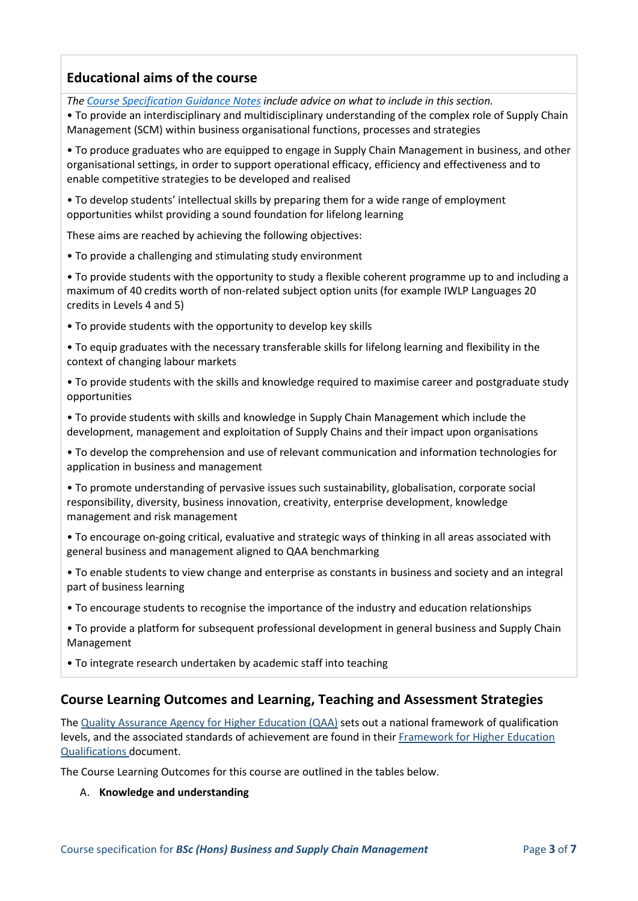## **Educational aims of the course**

*The [Course Specification Guidance Notes](http://www.port.ac.uk/departments/services/academicregistry/qmd/curriculum-framework-2019-20/filetodownload,201767,en.docx) include advice on what to include in this section.*

• To provide an interdisciplinary and multidisciplinary understanding of the complex role of Supply Chain Management (SCM) within business organisational functions, processes and strategies

• To produce graduates who are equipped to engage in Supply Chain Management in business, and other organisational settings, in order to support operational efficacy, efficiency and effectiveness and to enable competitive strategies to be developed and realised

• To develop students' intellectual skills by preparing them for a wide range of employment opportunities whilst providing a sound foundation for lifelong learning

These aims are reached by achieving the following objectives:

• To provide a challenging and stimulating study environment

• To provide students with the opportunity to study a flexible coherent programme up to and including a maximum of 40 credits worth of non-related subject option units (for example IWLP Languages 20 credits in Levels 4 and 5)

• To provide students with the opportunity to develop key skills

• To equip graduates with the necessary transferable skills for lifelong learning and flexibility in the context of changing labour markets

• To provide students with the skills and knowledge required to maximise career and postgraduate study opportunities

• To provide students with skills and knowledge in Supply Chain Management which include the development, management and exploitation of Supply Chains and their impact upon organisations

• To develop the comprehension and use of relevant communication and information technologies for application in business and management

• To promote understanding of pervasive issues such sustainability, globalisation, corporate social responsibility, diversity, business innovation, creativity, enterprise development, knowledge management and risk management

- To encourage on-going critical, evaluative and strategic ways of thinking in all areas associated with general business and management aligned to QAA benchmarking
- To enable students to view change and enterprise as constants in business and society and an integral part of business learning
- To encourage students to recognise the importance of the industry and education relationships
- To provide a platform for subsequent professional development in general business and Supply Chain Management
- To integrate research undertaken by academic staff into teaching

## **Course Learning Outcomes and Learning, Teaching and Assessment Strategies**

The [Quality Assurance Agency for Higher Education \(QAA\)](http://www.qaa.ac.uk/en) sets out a national framework of qualification levels, and the associated standards of achievement are found in their [Framework for Higher Education](https://www.qaa.ac.uk/docs/qaa/quality-code/qualifications-frameworks.pdf)  [Qualifications](https://www.qaa.ac.uk/docs/qaa/quality-code/qualifications-frameworks.pdf) document.

The Course Learning Outcomes for this course are outlined in the tables below.

#### A. **Knowledge and understanding**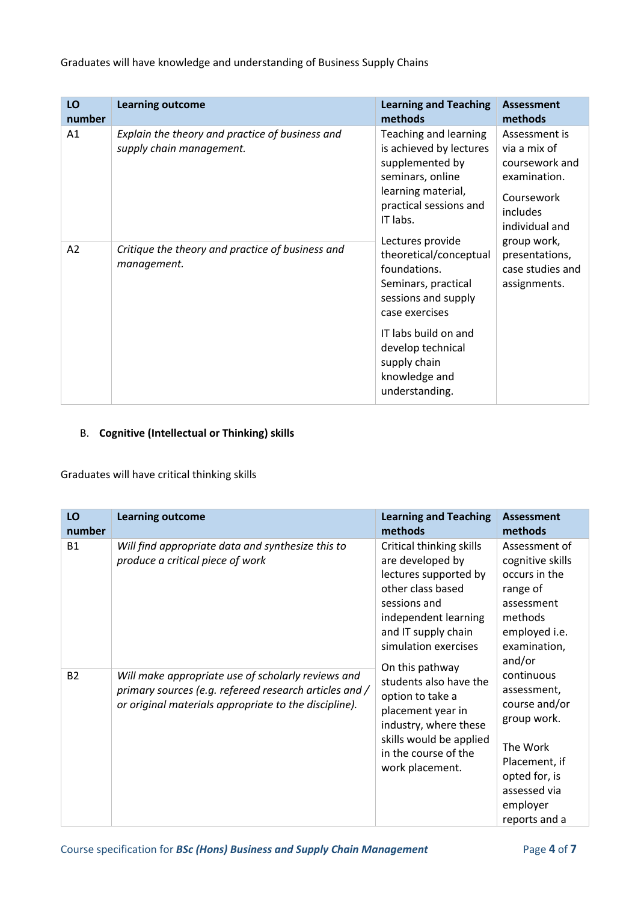## Graduates will have knowledge and understanding of Business Supply Chains

| LO<br>number | <b>Learning outcome</b>                                                     | <b>Learning and Teaching</b><br>methods                                                                                                                                                                                    | <b>Assessment</b><br>methods                                                                                |
|--------------|-----------------------------------------------------------------------------|----------------------------------------------------------------------------------------------------------------------------------------------------------------------------------------------------------------------------|-------------------------------------------------------------------------------------------------------------|
| A1           | Explain the theory and practice of business and<br>supply chain management. | Teaching and learning<br>is achieved by lectures<br>supplemented by<br>seminars, online<br>learning material,<br>practical sessions and<br>IT labs.                                                                        | Assessment is<br>via a mix of<br>coursework and<br>examination.<br>Coursework<br>includes<br>individual and |
| A2           | Critique the theory and practice of business and<br>management.             | Lectures provide<br>theoretical/conceptual<br>foundations.<br>Seminars, practical<br>sessions and supply<br>case exercises<br>IT labs build on and<br>develop technical<br>supply chain<br>knowledge and<br>understanding. | group work,<br>presentations,<br>case studies and<br>assignments.                                           |

## B. **Cognitive (Intellectual or Thinking) skills**

Graduates will have critical thinking skills

| LO<br>number | <b>Learning outcome</b>                                                                                                                                               | <b>Learning and Teaching</b><br>methods                                                                                                                                           | <b>Assessment</b><br>methods                                                                                                                         |
|--------------|-----------------------------------------------------------------------------------------------------------------------------------------------------------------------|-----------------------------------------------------------------------------------------------------------------------------------------------------------------------------------|------------------------------------------------------------------------------------------------------------------------------------------------------|
| <b>B1</b>    | Will find appropriate data and synthesize this to<br>produce a critical piece of work                                                                                 | Critical thinking skills<br>are developed by<br>lectures supported by<br>other class based<br>sessions and<br>independent learning<br>and IT supply chain<br>simulation exercises | Assessment of<br>cognitive skills<br>occurs in the<br>range of<br>assessment<br>methods<br>employed i.e.<br>examination,<br>and/or                   |
| <b>B2</b>    | Will make appropriate use of scholarly reviews and<br>primary sources (e.g. refereed research articles and /<br>or original materials appropriate to the discipline). | On this pathway<br>students also have the<br>option to take a<br>placement year in<br>industry, where these<br>skills would be applied<br>in the course of the<br>work placement. | continuous<br>assessment,<br>course and/or<br>group work.<br>The Work<br>Placement, if<br>opted for, is<br>assessed via<br>employer<br>reports and a |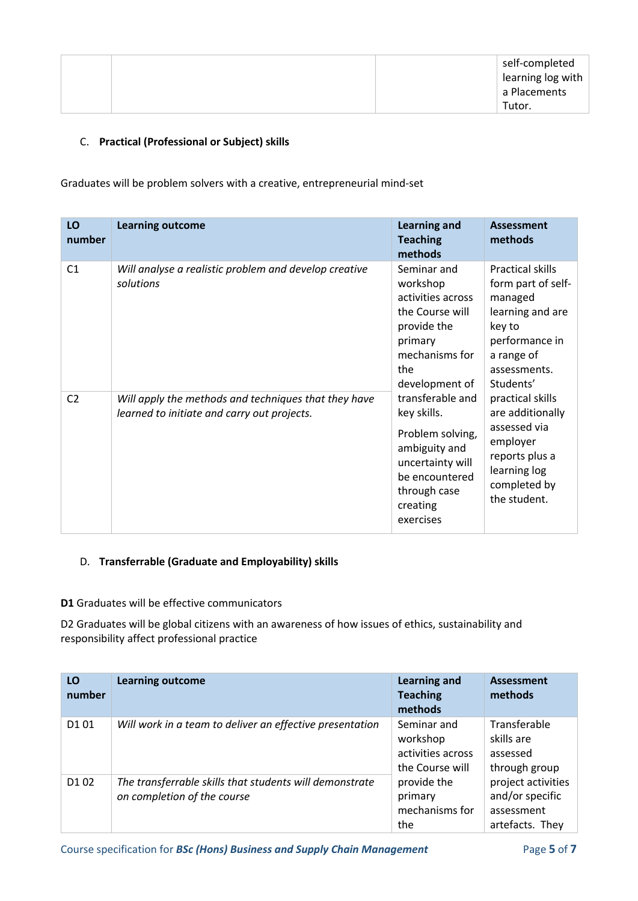#### C. **Practical (Professional or Subject) skills**

Graduates will be problem solvers with a creative, entrepreneurial mind-set

| LO<br>number   | <b>Learning outcome</b>                                                                             | <b>Learning and</b><br><b>Teaching</b><br>methods                                                                                                                                                                                                                                                                                                                                                                                                                                                 | <b>Assessment</b><br>methods                             |
|----------------|-----------------------------------------------------------------------------------------------------|---------------------------------------------------------------------------------------------------------------------------------------------------------------------------------------------------------------------------------------------------------------------------------------------------------------------------------------------------------------------------------------------------------------------------------------------------------------------------------------------------|----------------------------------------------------------|
| C <sub>1</sub> | Will analyse a realistic problem and develop creative<br>solutions                                  | Seminar and<br>Practical skills<br>workshop<br>activities across<br>managed<br>the Course will<br>provide the<br>key to<br>primary<br>mechanisms for<br>a range of<br>the<br>assessments.<br>development of<br>Students'<br>transferable and<br>practical skills<br>key skills.<br>assessed via<br>Problem solving,<br>employer<br>ambiguity and<br>reports plus a<br>uncertainty will<br>learning log<br>be encountered<br>completed by<br>through case<br>the student.<br>creating<br>exercises | form part of self-<br>learning and are<br>performance in |
| C <sub>2</sub> | Will apply the methods and techniques that they have<br>learned to initiate and carry out projects. |                                                                                                                                                                                                                                                                                                                                                                                                                                                                                                   | are additionally                                         |

#### D. **Transferrable (Graduate and Employability) skills**

#### **D1** Graduates will be effective communicators

D2 Graduates will be global citizens with an awareness of how issues of ethics, sustainability and responsibility affect professional practice

| LO<br>number                  | <b>Learning outcome</b>                                                                | <b>Learning and</b><br><b>Teaching</b><br>methods               | <b>Assessment</b><br>methods                                           |
|-------------------------------|----------------------------------------------------------------------------------------|-----------------------------------------------------------------|------------------------------------------------------------------------|
| D101                          | Will work in a team to deliver an effective presentation                               | Seminar and<br>workshop<br>activities across<br>the Course will | Transferable<br>skills are<br>assessed<br>through group                |
| D <sub>1</sub> 0 <sub>2</sub> | The transferrable skills that students will demonstrate<br>on completion of the course | provide the<br>primary<br>mechanisms for<br>the                 | project activities<br>and/or specific<br>assessment<br>artefacts. They |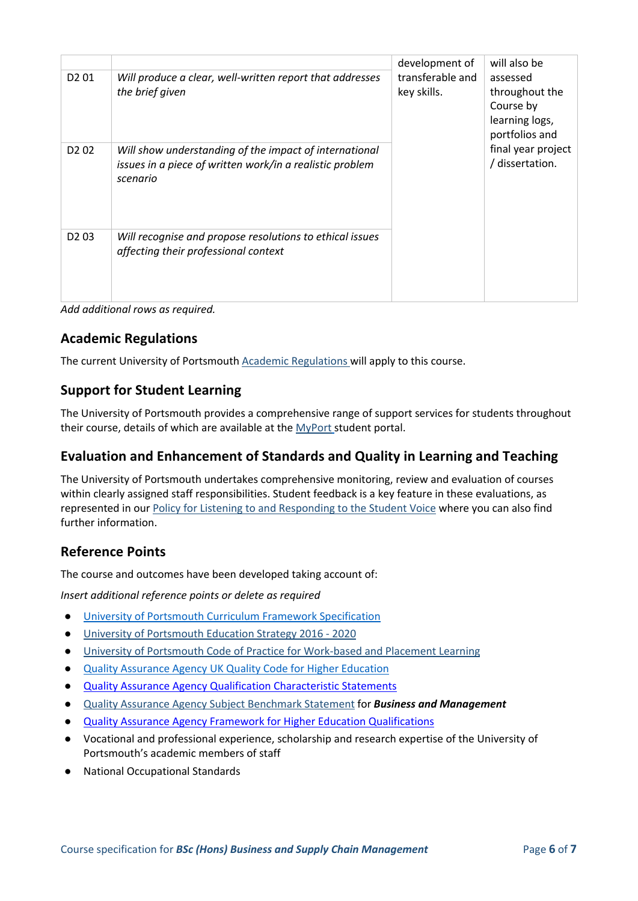| D <sub>2</sub> 01             | Will produce a clear, well-written report that addresses<br>the brief given                                                    | development of<br>transferable and<br>key skills. | will also be<br>assessed<br>throughout the<br>Course by<br>learning logs,<br>portfolios and |
|-------------------------------|--------------------------------------------------------------------------------------------------------------------------------|---------------------------------------------------|---------------------------------------------------------------------------------------------|
| D <sub>2</sub> 0 <sub>2</sub> | Will show understanding of the impact of international<br>issues in a piece of written work/in a realistic problem<br>scenario |                                                   | final year project<br>/ dissertation.                                                       |
| D <sub>2</sub> 03             | Will recognise and propose resolutions to ethical issues<br>affecting their professional context                               |                                                   |                                                                                             |

*Add additional rows as required.*

## **Academic Regulations**

The current University of Portsmouth [Academic Regulations](http://www.port.ac.uk/departments/services/academicregistry/qmd/assessmentandregulations/) will apply to this course.

## **Support for Student Learning**

The University of Portsmouth provides a comprehensive range of support services for students throughout their course, details of which are available at the [MyPort](http://myport.ac.uk/) student portal.

## **Evaluation and Enhancement of Standards and Quality in Learning and Teaching**

The University of Portsmouth undertakes comprehensive monitoring, review and evaluation of courses within clearly assigned staff responsibilities. Student feedback is a key feature in these evaluations, as represented in our [Policy for Listening to and Responding to the Student Voice](http://policies.docstore.port.ac.uk/policy-069.pdf) where you can also find further information.

### **Reference Points**

The course and outcomes have been developed taking account of:

*Insert additional reference points or delete as required*

- [University of Portsmouth Curriculum Framework Specification](http://www.port.ac.uk/departments/services/academicregistry/qmd/curriculum-framework-2019-20/filetodownload,201776,en.pdf)
- [University of Portsmouth Education Strategy 2016 -](http://policies.docstore.port.ac.uk/policy-187.pdf) 2020
- [University of Portsmouth Code of Practice for Work-based and Placement Learning](http://policies.docstore.port.ac.uk/policy-151.pdf)
- [Quality Assurance Agency UK Quality Code](https://www.qaa.ac.uk/quality-code/UK-Quality-Code-for-Higher-Education-2013-18#:~:text=The%20UK%20Quality%20Code%20for,students%20a%20high-quality%20experience.) for Higher Educatio[n](https://www.qaa.ac.uk/quality-code/UK-Quality-Code-for-Higher-Education-2013-18#:~:text=The%20UK%20Quality%20Code%20for,students%20a%20high-quality%20experience.)
- [Quality Assurance Agency Qualification Characteristic Statements](https://www.qaa.ac.uk/docs/qaas/focus-on/joint-degree-characteristics-15.pdf?sfvrsn=1b3ff481_8)
- [Quality Assurance Agency Subject Benchmark Statement](https://www.qaa.ac.uk/quality-code/subject-benchmark-statements#:~:text=Subject%20Benchmark%20Statements%20describe%20the,the%20end%20of%20their%20studies.) for *Business and Management*
- **[Quality Assurance Agency Framework for Higher Education Qualifications](https://www.qaa.ac.uk/docs/qaa/quality-code/qualifications-frameworks.pdf)**
- Vocational and professional experience, scholarship and research expertise of the University of Portsmouth's academic members of staff
- **National Occupational Standards**